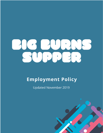# HE HENS

# **Employment Policy**

**Updated November 2019** 

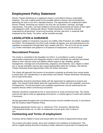# **Employment Policy Statement**

Electric Theatre Workshop as a registered charity is committed to being a responsible employer. The work created would not be possible without a diverse cast of practitioners delivering the work in one off or repeated seasons. The opportunities for employment within Electric Theatre Workshop are varied in not only role, but duration, earnings, and legal requirements. This policy has been drafted to ensure that all personnel are aware of their rights and obligations while working with electric Theatre Workshop. It should be read and understood by all personnel current and incoming, full time, part time, or seasonal staff employed by the charity. The policy will be reviewed annually.

# **LEGISLATION & GUIDANCE**

Employers Liability & Compulsory Insurance Act (1969), Data Protection Act (1998), Equalities Act (2010). The Employment Act (2011) with includes all repeals, acts and amendments to the regulation of employment through labor laws created until 2011. The act in full can be viewed here further information and guidance to all aspects of employment, can be found here.

## **Recruitment Process**

The charity is committed to the Equalities Act (2011). Is committed to a policy of equal opportunities employment and integrated casting in which individuals are selected and treated based on their relevant merits and abilities without regard to age, disability, gender reassignment, marriage and civil partnership, pregnancy and maternity, race, religion or belief, sex or sexual orientation and are given equal opportunities within the company. See Electric Theatre Workshop Equal Opportunities Policy for further information.

The charity will approach the process of recruitment constantly at all levels from casual worker to board level. (for volunteering or un paid workers see Electric Theatre Workshop Volunteering and un paid work) policy

Opportunities should be advertised widely with fair opportunity for applicants to enquire and apply. This should include details about the requirements of both role and candidate, and terms of employment. The job description and candidate requirements must be authorized by the trustees/ director before commencing recruitment.

Selection should be conducted by two or more persons to avoid unconscious bias. The charity reserves the right to enlist an appropriate third person, or outside agency to assist with selection if necessary.

All data generated throughout the recruitment process must be handled securely, in accordance with the Charity's Data Protection Policy.

Following appropriate checks such i.e. references, PVG, insurances, Membership of Professional bodies etc. An offer of employment may be given only if criteria is met.

# **Contracting and Terms of employment**

Contracts will be drafted in house and issued within two months of appointment being made.

The contract will outline exactly, terms and conditions and conditions of employment. This will be a legally binding document including a written statement of particulars of employment/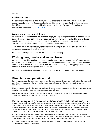service.

#### **Employment Status**

Personnel are employed by the charity under a variety of different contracts and terms of employment; for example, Employed, freelance, third party contracts. Each of these statuses has different rights and responsibilities in the eyes of the law. For more information on employment status and rights click here

#### **Wages, equal pay, and sick pay**

All workers will receive at least the minimum wage, or a figure negotiated that is deemed fair for the work required but not less than the equivalent of minimum wage. and will be paid by BACS transfer into the employees account on receipt of an invoice requesting payment. Unless otherwise specified in the contract payments will be made monthly.

Men and women are paid equally for the same work and part-timers are paid pro-rata at the same rates as comparable full-time staff.

Freelance or third-party contractors are not entitled to sick pay.

#### **Working time, breaks and annual leave**

Workers' hours will be monitored to ensure employees do not work more than 48 hours a week. Employees may work more hours if agreed with the employees written consent. Employees are entitled to at least one 20-minute break over the course of a full day. Young people under 18 are entitled to 30 min if working more than 4.5 hours.

Workers are entitled to a minimum of 28 days annual leave or pro-rata for part-time workers.

#### **Fixed term and part-time work**

Part-time workers get the same hourly rates of pay, the same leave entitlements proportionate to the number of days they work each week, the same entitlement to parental leave, and the same access to promotion opportunities.

Fixed term workers receive the same pay and conditions, the same or equivalent and the same opportunities to apply for vacancies for permanent posts as permanent employees.

Even if you don't currently employ part -timers, or any with comparable full-time posts, or fixed term workers, or any with comparable posts, you are fully aware of the issues.

## **Disciplinary and grievances, dismissals and redundancy If a**

member of staff conducts themselves in a questionable or un professional manner the charity retains the right to intervene. A letter will be drafted outlining the issue with sufficient information for the employee to respond. They will be invited to a disciplinary meeting where they may bring representation, such as other employee, trade union rep etc. if unhappy with the outcome employees have a right to appeal except in cases of gross misconduct for reasons such as theft, violence, or child protection issues

If an employee has a grievance with another member of staff or manager, they may submit a grievance in writing to a manager that they do not have a grievance with. The manager handling the grievance should seek to investigate and establish the facts and invite the employee in for a meeting to do this.

For further information on disciplinary or grievance procedures please check the ACAS code of practice for disciplinary and grievance procedures